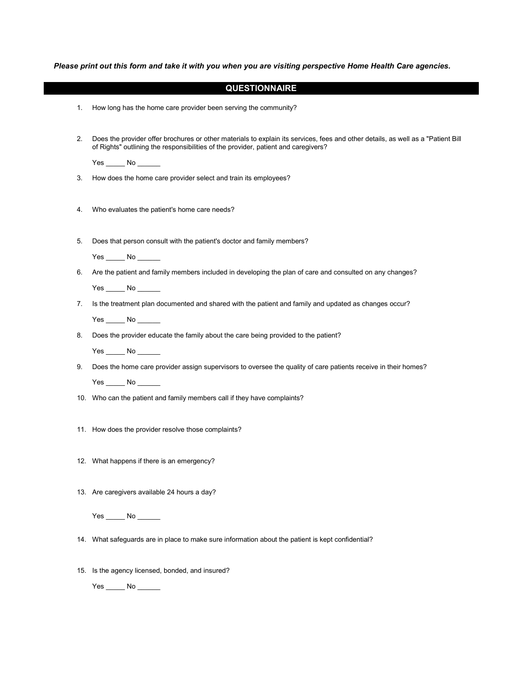Please print out this form and take it with you when you are visiting perspective Home Health Care agencies.

|    | <b>QUESTIONNAIRE</b>                                                                                                                                                                                                   |
|----|------------------------------------------------------------------------------------------------------------------------------------------------------------------------------------------------------------------------|
| 1. | How long has the home care provider been serving the community?                                                                                                                                                        |
|    |                                                                                                                                                                                                                        |
| 2. | Does the provider offer brochures or other materials to explain its services, fees and other details, as well as a "Patient Bill<br>of Rights" outlining the responsibilities of the provider, patient and caregivers? |
|    |                                                                                                                                                                                                                        |
| 3. | How does the home care provider select and train its employees?                                                                                                                                                        |
|    |                                                                                                                                                                                                                        |
| 4. | Who evaluates the patient's home care needs?                                                                                                                                                                           |
|    |                                                                                                                                                                                                                        |
| 5. | Does that person consult with the patient's doctor and family members?                                                                                                                                                 |
|    | $Yes$ No $\_\_\_\_\$                                                                                                                                                                                                   |
| 6. | Are the patient and family members included in developing the plan of care and consulted on any changes?                                                                                                               |
|    |                                                                                                                                                                                                                        |
| 7. | Is the treatment plan documented and shared with the patient and family and updated as changes occur?                                                                                                                  |
|    |                                                                                                                                                                                                                        |
|    | $Yes$ No $\_\_$                                                                                                                                                                                                        |
| 8. | Does the provider educate the family about the care being provided to the patient?                                                                                                                                     |
|    | $Yes$ No $\_\_$                                                                                                                                                                                                        |
| 9. | Does the home care provider assign supervisors to oversee the quality of care patients receive in their homes?                                                                                                         |
|    | $Yes$ No $\_\_$                                                                                                                                                                                                        |
|    | 10. Who can the patient and family members call if they have complaints?                                                                                                                                               |
|    |                                                                                                                                                                                                                        |
|    | 11. How does the provider resolve those complaints?                                                                                                                                                                    |
|    |                                                                                                                                                                                                                        |
|    | 12. What happens if there is an emergency?                                                                                                                                                                             |
|    |                                                                                                                                                                                                                        |
|    | 13. Are caregivers available 24 hours a day?                                                                                                                                                                           |
|    |                                                                                                                                                                                                                        |
|    | $Yes$ No $\_\_$                                                                                                                                                                                                        |
|    | 14. What safeguards are in place to make sure information about the patient is kept confidential?                                                                                                                      |
|    |                                                                                                                                                                                                                        |
|    | 15. Is the agency licensed, bonded, and insured?                                                                                                                                                                       |

Yes \_\_\_\_\_\_ No \_\_\_\_\_\_